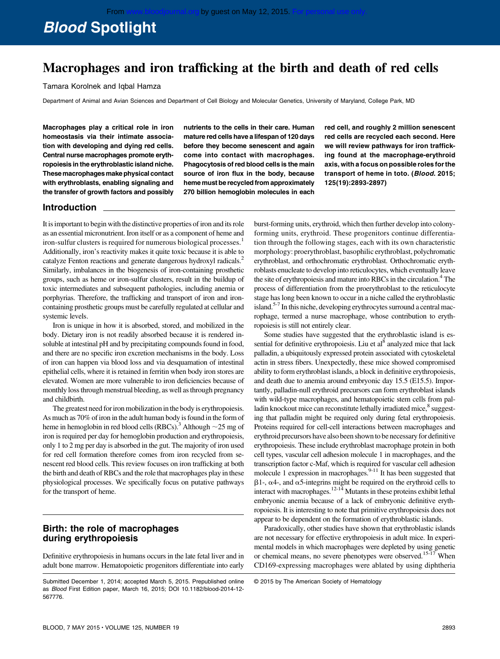# Blood Spotlight

## Macrophages and iron trafficking at the birth and death of red cells

Tamara Korolnek and Iqbal Hamza

Department of Animal and Avian Sciences and Department of Cell Biology and Molecular Genetics, University of Maryland, College Park, MD

Macrophages play a critical role in iron homeostasis via their intimate association with developing and dying red cells. Central nurse macrophages promote erythropoiesis in the erythroblastic island niche. These macrophages make physical contact with erythroblasts, enabling signaling and the transfer of growth factors and possibly nutrients to the cells in their care. Human mature red cells have a lifespan of 120 days before they become senescent and again come into contact with macrophages. Phagocytosis of red blood cells is the main source of iron flux in the body, because heme must be recycled from approximately 270 billion hemoglobin molecules in each red cell, and roughly 2 million senescent red cells are recycled each second. Here we will review pathways for iron trafficking found at the macrophage-erythroid axis, with a focus on possible roles for the transport of heme in toto. (Blood. 2015; 125(19):2893-2897)

#### Introduction

It is important to begin with the distinctive properties of iron and its role as an essential micronutrient. Iron itself or as a component of heme and iron-sulfur clusters is required for numerous biological processes.<sup>1</sup> Additionally, iron's reactivity makes it quite toxic because it is able to catalyze Fenton reactions and generate dangerous hydroxyl radicals.<sup>2</sup> Similarly, imbalances in the biogenesis of iron-containing prosthetic groups, such as heme or iron-sulfur clusters, result in the buildup of toxic intermediates and subsequent pathologies, including anemia or porphyrias. Therefore, the trafficking and transport of iron and ironcontaining prosthetic groups must be carefully regulated at cellular and systemic levels.

Iron is unique in how it is absorbed, stored, and mobilized in the body. Dietary iron is not readily absorbed because it is rendered insoluble at intestinal pH and by precipitating compounds found in food, and there are no specific iron excretion mechanisms in the body. Loss of iron can happen via blood loss and via desquamation of intestinal epithelial cells, where it is retained in ferritin when body iron stores are elevated. Women are more vulnerable to iron deficiencies because of monthly loss through menstrual bleeding, as well as through pregnancy and childbirth.

The greatest need for iron mobilization in the body is erythropoiesis. As much as 70% of iron in the adult human body is found in the form of heme in hemoglobin in red blood cells (RBCs).<sup>3</sup> Although  $\sim$  25 mg of iron is required per day for hemoglobin production and erythropoiesis, only 1 to 2 mg per day is absorbed in the gut. The majority of iron used for red cell formation therefore comes from iron recycled from senescent red blood cells. This review focuses on iron trafficking at both the birth and death of RBCs and the role that macrophages play in these physiological processes. We specifically focus on putative pathways for the transport of heme.

#### Birth: the role of macrophages during erythropoiesis

Definitive erythropoiesis in humans occurs in the late fetal liver and in adult bone marrow. Hematopoietic progenitors differentiate into early burst-forming units, erythroid, which then further develop into colonyforming units, erythroid. These progenitors continue differentiation through the following stages, each with its own characteristic morphology: proerythroblast, basophilic erythroblast, polychromatic erythroblast, and orthochromatic erythroblast. Orthochromatic erythroblasts enucleate to develop into reticulocytes, which eventually leave the site of erythropoiesis and mature into RBCs in the circulation.<sup>4</sup> The process of differentiation from the proerythroblast to the reticulocyte stage has long been known to occur in a niche called the erythroblastic island.5-7 In this niche, developing erythrocytes surround a central macrophage, termed a nurse macrophage, whose contribution to erythropoiesis is still not entirely clear.

Some studies have suggested that the erythroblastic island is essential for definitive erythropoiesis. Liu et al<sup>8</sup> analyzed mice that lack palladin, a ubiquitously expressed protein associated with cytoskeletal actin in stress fibers. Unexpectedly, these mice showed compromised ability to form erythroblast islands, a block in definitive erythropoiesis, and death due to anemia around embryonic day 15.5 (E15.5). Importantly, palladin-null erythroid precursors can form erythroblast islands with wild-type macrophages, and hematopoietic stem cells from palladin knockout mice can reconstitute lethally irradiated mice,<sup>8</sup> suggesting that palladin might be required only during fetal erythropoiesis. Proteins required for cell-cell interactions between macrophages and erythroid precursors have also been shown to be necessary for definitive erythropoiesis. These include erythroblast macrophage protein in both cell types, vascular cell adhesion molecule 1 in macrophages, and the transcription factor c-Maf, which is required for vascular cell adhesion molecule 1 expression in macrophages. $9-11$  It has been suggested that  $\beta$ 1-,  $\alpha$ 4-, and  $\alpha$ 5-integrins might be required on the erythroid cells to interact with macrophages.12-14 Mutants in these proteins exhibit lethal embryonic anemia because of a lack of embryonic definitive erythropoiesis. It is interesting to note that primitive erythropoiesis does not appear to be dependent on the formation of erythroblastic islands.

Paradoxically, other studies have shown that erythroblastic islands are not necessary for effective erythropoiesis in adult mice. In experimental models in which macrophages were depleted by using genetic or chemical means, no severe phenotypes were observed.<sup>15-17</sup> When CD169-expressing macrophages were ablated by using diphtheria

Submitted December 1, 2014; accepted March 5, 2015. Prepublished online as Blood First Edition paper, March 16, 2015; DOI 10.1182/blood-2014-12- 567776.

<sup>©</sup> 2015 by The American Society of Hematology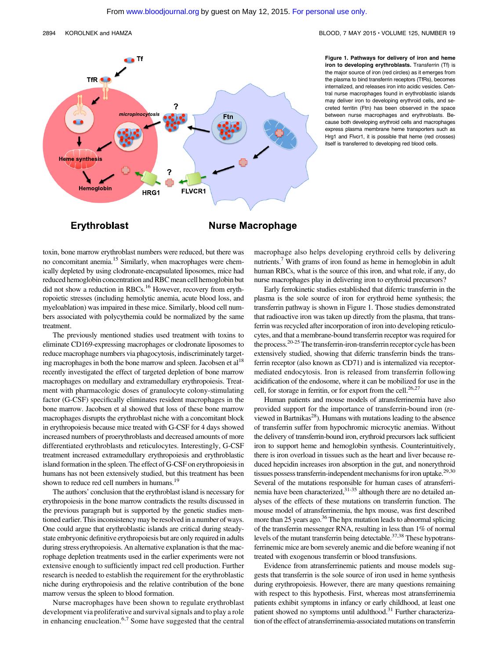

Figure 1. Pathways for delivery of iron and heme iron to developing erythroblasts. Transferrin (Tf) is the major source of iron (red circles) as it emerges from the plasma to bind transferrin receptors (TfRs), becomes internalized, and releases iron into acidic vesicles. Central nurse macrophages found in erythroblastic islands may deliver iron to developing erythroid cells, and secreted ferritin (Ftn) has been observed in the space between nurse macrophages and erythroblasts. Because both developing erythroid cells and macrophages express plasma membrane heme transporters such as Hrg1 and Flvcr1, it is possible that heme (red crosses) itself is transferred to developing red blood cells.

### Erythroblast

toxin, bone marrow erythroblast numbers were reduced, but there was no concomitant anemia.15 Similarly, when macrophages were chemically depleted by using clodronate-encapsulated liposomes, mice had reduced hemoglobin concentration and RBC mean cell hemoglobin but did not show a reduction in RBCs.<sup>16</sup> However, recovery from erythropoietic stresses (including hemolytic anemia, acute blood loss, and myeloablation) was impaired in these mice. Similarly, blood cell numbers associated with polycythemia could be normalized by the same treatment.

The previously mentioned studies used treatment with toxins to eliminate CD169-expressing macrophages or clodronate liposomes to reduce macrophage numbers via phagocytosis, indiscriminately targeting macrophages in both the bone marrow and spleen. Jacobsen et  $al<sup>18</sup>$ recently investigated the effect of targeted depletion of bone marrow macrophages on medullary and extramedullary erythropoiesis. Treatment with pharmacologic doses of granulocyte colony-stimulating factor (G-CSF) specifically eliminates resident macrophages in the bone marrow. Jacobsen et al showed that loss of these bone marrow macrophages disrupts the erythroblast niche with a concomitant block in erythropoiesis because mice treated with G-CSF for 4 days showed increased numbers of proerythroblasts and decreased amounts of more differentiated erythroblasts and reticulocytes. Interestingly, G-CSF treatment increased extramedullary erythropoiesis and erythroblastic island formation in the spleen. The effect of G-CSF on erythropoiesis in humans has not been extensively studied, but this treatment has been shown to reduce red cell numbers in humans.<sup>19</sup>

The authors' conclusion that the erythroblast island is necessary for erythropoiesis in the bone marrow contradicts the results discussed in the previous paragraph but is supported by the genetic studies mentioned earlier. This inconsistency may be resolved in a number of ways. One could argue that erythroblastic islands are critical during steadystate embryonic definitive erythropoiesis but are only required in adults during stress erythropoiesis. An alternative explanation is that the macrophage depletion treatments used in the earlier experiments were not extensive enough to sufficiently impact red cell production. Further research is needed to establish the requirement for the erythroblastic niche during erythropoiesis and the relative contribution of the bone marrow versus the spleen to blood formation.

Nurse macrophages have been shown to regulate erythroblast development via proliferative and survival signals and to play a role in enhancing enucleation.<sup>6,7</sup> Some have suggested that the central

macrophage also helps developing erythroid cells by delivering nutrients.<sup>7</sup> With grams of iron found as heme in hemoglobin in adult human RBCs, what is the source of this iron, and what role, if any, do nurse macrophages play in delivering iron to erythroid precursors?

Early ferrokinetic studies established that diferric transferrin in the plasma is the sole source of iron for erythroid heme synthesis; the transferrin pathway is shown in Figure 1. Those studies demonstrated that radioactive iron was taken up directly from the plasma, that transferrin was recycled after incorporation of iron into developing reticulocytes, and that a membrane-bound transferrin receptor was required for the process. $20-25$  The transferrin-iron-transferrin receptor cycle has been extensively studied, showing that diferric transferrin binds the transferrin receptor (also known as CD71) and is internalized via receptormediated endocytosis. Iron is released from transferrin following acidification of the endosome, where it can be mobilized for use in the cell, for storage in ferritin, or for export from the cell.<sup>26,27</sup>

Human patients and mouse models of atransferrinemia have also provided support for the importance of transferrin-bound iron (reviewed in Bartnikas<sup>28</sup>). Humans with mutations leading to the absence of transferrin suffer from hypochromic microcytic anemias. Without the delivery of transferrin-bound iron, erythroid precursors lack sufficient iron to support heme and hemoglobin synthesis. Counterintuitively, there is iron overload in tissues such as the heart and liver because reduced hepcidin increases iron absorption in the gut, and nonerythroid tissues possess transferrin-independent mechanisms for iron uptake.<sup>29,30</sup> Several of the mutations responsible for human cases of atransferrinemia have been characterized,<sup>31-35</sup> although there are no detailed analyses of the effects of these mutations on transferrin function. The mouse model of atransferrinemia, the hpx mouse, was first described more than 25 years ago.<sup>36</sup> The hpx mutation leads to abnormal splicing of the transferrin messenger RNA, resulting in less than 1% of normal levels of the mutant transferrin being detectable.<sup>37,38</sup> These hypotransferrinemic mice are born severely anemic and die before weaning if not treated with exogenous transferrin or blood transfusions.

Evidence from atransferrinemic patients and mouse models suggests that transferrin is the sole source of iron used in heme synthesis during erythropoiesis. However, there are many questions remaining with respect to this hypothesis. First, whereas most atransferrinemia patients exhibit symptoms in infancy or early childhood, at least one patient showed no symptoms until adulthood.<sup>31</sup> Further characterization of the effect of atransferrinemia-associated mutations on transferrin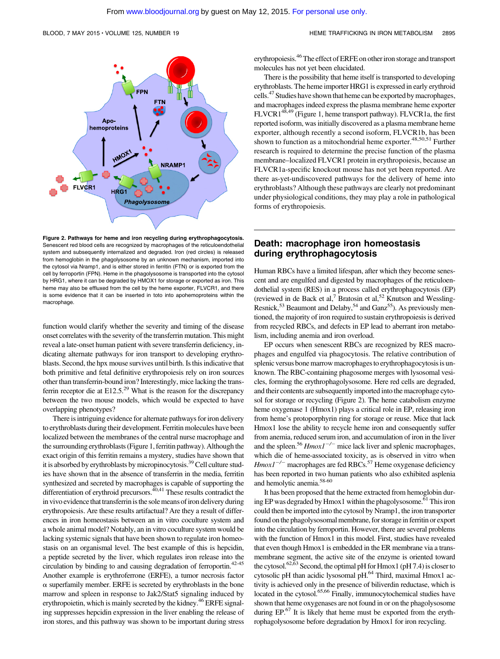

Figure 2. Pathways for heme and iron recycling during erythrophagocytosis. Senescent red blood cells are recognized by macrophages of the reticuloendothelial system and subsequently internalized and degraded. Iron (red circles) is released from hemoglobin in the phagolysosome by an unknown mechanism, imported into the cytosol via Nramp1, and is either stored in ferritin (FTN) or is exported from the cell by ferroportin (FPN). Heme in the phagolysosome is transported into the cytosol by HRG1, where it can be degraded by HMOX1 for storage or exported as iron. This heme may also be effluxed from the cell by the heme exporter, FLVCR1, and there is some evidence that it can be inserted in toto into apohemoproteins within the macrophage.

function would clarify whether the severity and timing of the disease onset correlates with the severity of the transferrin mutation. This might reveal a late-onset human patient with severe transferrin deficiency, indicating alternate pathways for iron transport to developing erythroblasts. Second, the hpx mouse survives until birth. Is this indicative that both primitive and fetal definitive erythropoiesis rely on iron sources other than transferrin-bound iron? Interestingly, mice lacking the transferrin receptor die at  $E12.5^{29}$  What is the reason for the discrepancy between the two mouse models, which would be expected to have overlapping phenotypes?

There is intriguing evidence for alternate pathways for iron delivery to erythroblasts during their development. Ferritin molecules have been localized between the membranes of the central nurse macrophage and the surrounding erythroblasts (Figure 1, ferritin pathway). Although the exact origin of this ferritin remains a mystery, studies have shown that it is absorbed by erythroblasts by micropinocytosis.<sup>39</sup> Cell culture studies have shown that in the absence of transferrin in the media, ferritin synthesized and secreted by macrophages is capable of supporting the differentiation of erythroid precursors. $40,41$  These results contradict the in vivo evidence that transferrin is the sole means of iron delivery during erythropoiesis. Are these results artifactual? Are they a result of differences in iron homeostasis between an in vitro coculture system and a whole animal model? Notably, an in vitro coculture system would be lacking systemic signals that have been shown to regulate iron homeostasis on an organismal level. The best example of this is hepcidin, a peptide secreted by the liver, which regulates iron release into the circulation by binding to and causing degradation of ferroportin.42-45 Another example is erythroferrone (ERFE), a tumor necrosis factor  $\alpha$  superfamily member. ERFE is secreted by erythroblasts in the bone marrow and spleen in response to Jak2/Stat5 signaling induced by erythropoietin, which is mainly secreted by the kidney.<sup>46</sup> ERFE signaling suppresses hepcidin expression in the liver enabling the release of iron stores, and this pathway was shown to be important during stress erythropoiesis.<sup>46</sup> The effect of ERFE on other iron storage and transport molecules has not yet been elucidated.

There is the possibility that heme itself is transported to developing erythroblasts. The heme importer HRG1 is expressed in early erythroid cells.<sup>47</sup> Studies have shown that heme can be exported by macrophages, and macrophages indeed express the plasma membrane heme exporter FLVCR148,49 (Figure 1, heme transport pathway). FLVCR1a, the first reported isoform, was initially discovered as a plasma membrane heme exporter, although recently a second isoform, FLVCR1b, has been shown to function as a mitochondrial heme exporter.<sup>48,50,51</sup> Further research is required to determine the precise function of the plasma membrane–localized FLVCR1 protein in erythropoiesis, because an FLVCR1a-specific knockout mouse has not yet been reported. Are there as-yet-undiscovered pathways for the delivery of heme into erythroblasts? Although these pathways are clearly not predominant under physiological conditions, they may play a role in pathological forms of erythropoiesis.

#### Death: macrophage iron homeostasis during erythrophagocytosis

Human RBCs have a limited lifespan, after which they become senescent and are engulfed and digested by macrophages of the reticuloendothelial system (RES) in a process called erythrophagocytosis (EP) (reviewed in de Back et al,<sup>7</sup> Bratosin et al,<sup>52</sup> Knutson and Wessling-Resnick,<sup>53</sup> Beaumont and Delaby,<sup>54</sup> and Ganz<sup>55</sup>). As previously mentioned, the majority of iron required to sustain erythropoiesis is derived from recycled RBCs, and defects in EP lead to aberrant iron metabolism, including anemia and iron overload.

EP occurs when senescent RBCs are recognized by RES macrophages and engulfed via phagocytosis. The relative contribution of splenic versus bone marrow macrophages to erythrophagocytosis is unknown. The RBC-containing phagosome merges with lysosomal vesicles, forming the erythrophagolysosome. Here red cells are degraded, and their contents are subsequently imported into the macrophage cytosol for storage or recycling (Figure 2). The heme catabolism enzyme heme oxygenase 1 (Hmox1) plays a critical role in EP, releasing iron from heme's protoporphyrin ring for storage or reuse. Mice that lack Hmox1 lose the ability to recycle heme iron and consequently suffer from anemia, reduced serum iron, and accumulation of iron in the liver and the spleen.<sup>56</sup> Hmox1<sup>-/-</sup> mice lack liver and splenic macrophages, which die of heme-associated toxicity, as is observed in vitro when  $H$ mox $1^{-/-}$  macrophages are fed RBCs.<sup>57</sup> Heme oxygenase deficiency has been reported in two human patients who also exhibited asplenia and hemolytic anemia.58-60

It has been proposed that the heme extracted from hemoglobin during EP was degraded by Hmox1 within the phagolysosome.<sup>61</sup> This iron could then be imported into the cytosol by Nramp1, the iron transporter found on the phagolysosomal membrane, for storage in ferritin or export into the circulation by ferroportin. However, there are several problems with the function of Hmox1 in this model. First, studies have revealed that even though Hmox1 is embedded in the ER membrane via a transmembrane segment, the active site of the enzyme is oriented toward the cytosol.<sup>62, $\tilde{6}$ 3 Second, the optimal pH for Hmox1 (pH 7.4) is closer to</sup> cytosolic pH than acidic lysosomal pH.64 Third, maximal Hmox1 activity is achieved only in the presence of biliverdin reductase, which is located in the cytosol.<sup>65,66</sup> Finally, immunocytochemical studies have shown that heme oxygenases are not found in or on the phagolysosome during  $EP<sup>67</sup>$  It is likely that heme must be exported from the erythrophagolysosome before degradation by Hmox1 for iron recycling.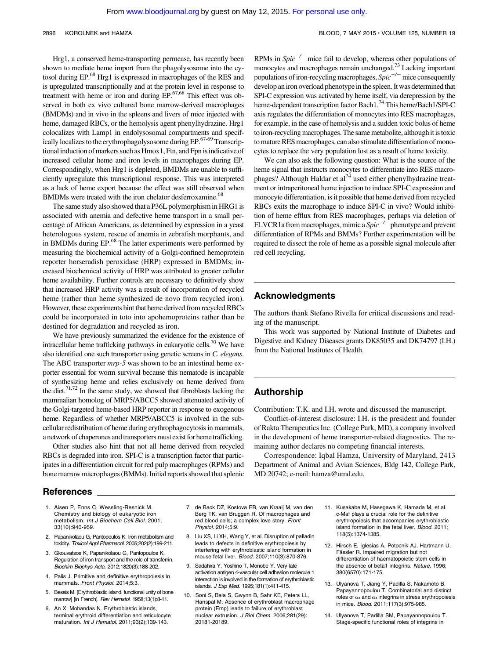2896 KOROLNEK and HAMZA BLOOD, 7 MAY 2015 · VOLUME 125, NUMBER 19

Hrg1, a conserved heme-transporting permease, has recently been shown to mediate heme import from the phagolysosome into the cytosol during EP.<sup>68</sup> Hrg1 is expressed in macrophages of the RES and is upregulated transcriptionally and at the protein level in response to treatment with heme or iron and during EP.67,68 This effect was observed in both ex vivo cultured bone marrow-derived macrophages (BMDMs) and in vivo in the spleens and livers of mice injected with heme, damaged RBCs, or the hemolysis agent phenylhydrazine. Hrg1 colocalizes with Lamp1 in endolysosomal compartments and specifically localizes to the erythrophagolysosome during  $EP$ .<sup>67-69</sup> Transcriptional induction of markers such as Hmox1, Ftn, and Fpn is indicative of increased cellular heme and iron levels in macrophages during EP. Correspondingly, when Hrg1 is depleted, BMDMs are unable to sufficiently upregulate this transcriptional response. This was interpreted as a lack of heme export because the effect was still observed when BMDMs were treated with the iron chelator desferroxamine.<sup>68</sup>

The same study also showed that a P36L polymorphism in HRG1 is associated with anemia and defective heme transport in a small percentage of African Americans, as determined by expression in a yeast heterologous system, rescue of anemia in zebrafish morphants, and in BMDMs during EP.<sup>68</sup> The latter experiments were performed by measuring the biochemical activity of a Golgi-confined hemoprotein reporter horseradish peroxidase (HRP) expressed in BMDMs; increased biochemical activity of HRP was attributed to greater cellular heme availability. Further controls are necessary to definitively show that increased HRP activity was a result of incorporation of recycled heme (rather than heme synthesized de novo from recycled iron). However, these experiments hint that heme derived from recycled RBCs could be incorporated in toto into apohemoproteins rather than be destined for degradation and recycled as iron.

We have previously summarized the evidence for the existence of intracellular heme trafficking pathways in eukaryotic cells.<sup>70</sup> We have also identified one such transporter using genetic screens in C. elegans. The ABC transporter  $mrp-5$  was shown to be an intestinal heme exporter essential for worm survival because this nematode is incapable of synthesizing heme and relies exclusively on heme derived from the diet.<sup>71,72</sup> In the same study, we showed that fibroblasts lacking the mammalian homolog of MRP5/ABCC5 showed attenuated activity of the Golgi-targeted heme-based HRP reporter in response to exogenous heme. Regardless of whether MRP5/ABCC5 is involved in the subcellular redistribution of heme during erythrophagocytosis in mammals, a network of chaperones and transporters must exist for heme trafficking.

Other studies also hint that not all heme derived from recycled RBCs is degraded into iron. SPI-C is a transcription factor that participates in a differentiation circuit for red pulp macrophages (RPMs) and bone marrow macrophages (BMMs). Initial reports showed that splenic

#### References

- 1. Aisen P, Enns C, Wessling-Resnick M. Chemistry and biology of eukaryotic iron metabolism. Int J Biochem Cell Biol. 2001; 33(10):940-959.
- 2. Papanikolaou G, Pantopoulos K. Iron metabolism and toxicity. Toxicol Appl Pharmacol. 2005;202(2):199-211.
- 3. Gkouvatsos K, Papanikolaou G, Pantopoulos K. Regulation of iron transport and the role of transferrin. Biochim Biophys Acta. 2012;1820(3):188-202.
- 4. Palis J. Primitive and definitive erythropoiesis in mammals. Front Physiol. 2014;5:3.
- Bessis M. [Erythroblastic island, functional unity of bone marrow] [in French]. Rev Hematol. 1958;13(1):8-11.
- 6. An X, Mohandas N. Erythroblastic islands, terminal erythroid differentiation and reticulocyte maturation. Int J Hematol. 2011;93(2):139-143.

RPMs in  $Spic^{-/-}$  mice fail to develop, whereas other populations of monocytes and macrophages remain unchanged.<sup>73</sup> Lacking important populations of iron-recycling macrophages,  $Spic^{-/-}$  mice consequently develop an iron overload phenotype in the spleen. It was determined that SPI-C expression was activated by heme itself, via derepression by the heme-dependent transcription factor Bach1.74 This heme/Bach1/SPI-C axis regulates the differentiation of monocytes into RES macrophages, for example, in the case of hemolysis and a sudden toxic bolus of heme to iron-recycling macrophages. The same metabolite, although itis toxic to mature RES macrophages, can also stimulate differentiation of monocytes to replace the very population lost as a result of heme toxicity.

We can also ask the following question: What is the source of the heme signal that instructs monocytes to differentiate into RES macrophages? Although Haldar et al<sup>74</sup> used either phenylhydrazine treatment or intraperitoneal heme injection to induce SPI-C expression and monocyte differentiation, is it possible that heme derived from recycled RBCs exits the macrophage to induce SPI-C in vivo? Would inhibition of heme efflux from RES macrophages, perhaps via deletion of FLVCR1a from macrophages, mimic a  $Spic^{-/-}$  phenotype and prevent differentiation of RPMs and BMMs? Further experimentation will be required to dissect the role of heme as a possible signal molecule after red cell recycling.

#### Acknowledgments

The authors thank Stefano Rivella for critical discussions and reading of the manuscript.

This work was supported by National Institute of Diabetes and Digestive and Kidney Diseases grants DK85035 and DK74797 (I.H.) from the National Institutes of Health.

#### Authorship

Contribution: T.K. and I.H. wrote and discussed the manuscript.

Conflict-of-interest disclosure: I.H. is the president and founder of Rakta Therapeutics Inc. (College Park, MD), a company involved in the development of heme transporter-related diagnostics. The remaining author declares no competing financial interests.

Correspondence: Iqbal Hamza, University of Maryland, 2413 Department of Animal and Avian Sciences, Bldg 142, College Park, MD 20742; e-mail: [hamza@umd.edu.](mailto:hamza@umd.edu)

- 7. de Back DZ, Kostova EB, van Kraaij M, van den Berg TK, van Bruggen R. Of macrophages and red blood cells; a complex love story. Front Physiol. 2014;5:9.
- 8. Liu XS, Li XH, Wang Y, et al. Disruption of palladin leads to defects in definitive erythropoiesis by interfering with erythroblastic island formation in mouse fetal liver. Blood. 2007;110(3):870-876.
- 9. Sadahira Y, Yoshino T, Monobe Y. Very late activation antigen 4-vascular cell adhesion molecule 1 interaction is involved in the formation of erythroblastic islands. J Exp Med. 1995;181(1):411-415.
- 10. Soni S, Bala S, Gwynn B, Sahr KE, Peters LL, Hanspal M. Absence of erythroblast macrophage protein (Emp) leads to failure of erythroblast nuclear extrusion. J Biol Chem. 2006;281(29): 20181-20189.
- 11. Kusakabe M, Hasegawa K, Hamada M, et al. c-Maf plays a crucial role for the definitive erythropoiesis that accompanies erythroblastic island formation in the fetal liver. Blood. 2011; 118(5):1374-1385.
- 12. Hirsch E, Iglesias A, Potocnik AJ, Hartmann U, Fässler R. Impaired migration but not differentiation of haematopoietic stem cells in the absence of beta1 integrins. Nature. 1996; 380(6570):171-175.
- 13. Ulyanova T, Jiang Y, Padilla S, Nakamoto B, Papayannopoulou T. Combinatorial and distinct roles of  $\alpha$ <sub>5</sub> and  $\alpha$ <sub>4</sub> integrins in stress erythropoiesis in mice. Blood. 2011;117(3):975-985.
- 14. Ulyanova T, Padilla SM, Papayannopoulou T. Stage-specific functional roles of integrins in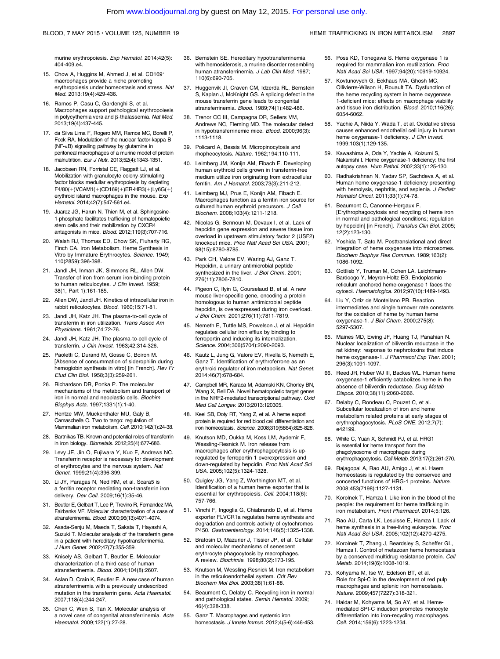#### 36. Bernstein SE. Hereditary hypotransferrinemia with hemosiderosis, a murine disorder resembling human atransferrinemia. J Lab Clin Med. 1987; 110(6):690-705.

- 37. Huggenvik JI, Craven CM, Idzerda RL, Bernstein S, Kaplan J, McKnight GS. A splicing defect in the mouse transferrin gene leads to congenital atransferrinemia. Blood. 1989;74(1):482-486.
- 38. Trenor CC III, Campagna DR, Sellers VM, Andrews NC, Fleming MD. The molecular defect in hypotransferrinemic mice. Blood. 2000;96(3): 1113-1118.
- 39. Policard A, Bessis M. Micropinocytosis and rhopheocytosis. Nature. 1962;194:110-111.
- 40. Leimberg JM, Konijn AM, Fibach E. Developing human erythroid cells grown in transferrin-free medium utilize iron originating from extracellular ferritin. Am J Hematol. 2003;73(3):211-212.
- 41. Leimberg MJ, Prus E, Konijn AM, Fibach E. Macrophages function as a ferritin iron source for cultured human erythroid precursors. J Cell Biochem. 2008;103(4):1211-1218.
- 42. Nicolas G, Bennoun M, Devaux I, et al. Lack of hepcidin gene expression and severe tissue iron overload in upstream stimulatory factor 2 (USF2) knockout mice. Proc Natl Acad Sci USA. 2001; 98(15):8780-8785.
- 43. Park CH, Valore EV, Waring AJ, Ganz T. Hepcidin, a urinary antimicrobial peptide synthesized in the liver. J Biol Chem. 2001; 276(11):7806-7810.
- 44. Pigeon C, Ilyin G, Courselaud B, et al. A new mouse liver-specific gene, encoding a protein homologous to human antimicrobial peptide hepcidin, is overexpressed during iron overload. J Biol Chem. 2001;276(11):7811-7819.
- 45. Nemeth E, Tuttle MS, Powelson J, et al. Hepcidin regulates cellular iron efflux by binding to ferroportin and inducing its internalization. Science. 2004;306(5704):2090-2093.
- Kautz L, Jung G, Valore EV, Rivella S, Nemeth E, Ganz T. Identification of erythroferrone as an erythroid regulator of iron metabolism. Nat Genet. 2014;46(7):678-684.
- 47. Campbell MR, Karaca M, Adamski KN, Chorley BN, Wang X, Bell DA. Novel hematopoietic target genes in the NRF2-mediated transcriptional pathway. Oxid Med Cell Longev. 2013;2013:120305.
- 48. Keel SB, Doty RT, Yang Z, et al. A heme export protein is required for red blood cell differentiation and iron homeostasis. Science. 2008;319(5864):825-828.
- 49. Knutson MD, Oukka M, Koss LM, Aydemir F, Wessling-Resnick M. Iron release from macrophages after erythrophagocytosis is upregulated by ferroportin 1 overexpression and down-regulated by hepcidin. Proc Natl Acad Sci USA. 2005;102(5):1324-1328.
- 50. Quigley JG, Yang Z, Worthington MT, et al. Identification of a human heme exporter that is essential for erythropoiesis. Cell. 2004;118(6): 757-766.
- 51. Vinchi F, Ingoglia G, Chiabrando D, et al. Heme exporter FLVCR1a regulates heme synthesis and degradation and controls activity of cytochromes P450. Gastroenterology. 2014;146(5):1325-1338.
- 52. Bratosin D, Mazurier J, Tissier JP, et al. Cellular and molecular mechanisms of senescent erythrocyte phagocytosis by macrophages. A review. Biochimie. 1998;80(2):173-195.
- 53. Knutson M, Wessling-Resnick M. Iron metabolism in the reticuloendothelial system. Crit Rev Biochem Mol Biol. 2003;38(1):61-88.
- 54. Beaumont C, Delaby C. Recycling iron in normal and pathological states. Semin Hematol. 2009; 46(4):328-338.
- 55. Ganz T. Macrophages and systemic iron homeostasis. J Innate Immun. 2012;4(5-6):446-453.
- 56. Poss KD, Tonegawa S. Heme oxygenase 1 is required for mammalian iron reutilization. Proc Natl Acad Sci USA. 1997;94(20):10919-10924.
- 57. Kovtunovych G, Eckhaus MA, Ghosh MC, Ollivierre-Wilson H, Rouault TA. Dysfunction of the heme recycling system in heme oxygenase 1-deficient mice: effects on macrophage viability and tissue iron distribution. Blood. 2010;116(26): 6054-6062.
- 58. Yachie A, Niida Y, Wada T, et al. Oxidative stress causes enhanced endothelial cell injury in human heme oxygenase-1 deficiency. J Clin Invest. 1999;103(1):129-135.
- 59. Kawashima A, Oda Y, Yachie A, Koizumi S, Nakanishi I. Heme oxygenase-1 deficiency: the first autopsy case. Hum Pathol. 2002;33(1):125-130.
- 60. Radhakrishnan N, Yadav SP, Sachdeva A, et al. Human heme oxygenase-1 deficiency presenting with hemolysis, nephritis, and asplenia. J Pediatr Hematol Oncol. 2011;33(1):74-78.
- 61. Beaumont C, Canonne-Hergaux F. [Erythrophagocytosis and recycling of heme iron in normal and pathological conditions; regulation by hepcidin] [in French]. Transfus Clin Biol. 2005; 12(2):123-130.
- 62. Yoshida T, Sato M. Posttranslational and direct integration of heme oxygenase into microsomes. Biochem Biophys Res Commun. 1989;163(2): 1086-1092.
- 63. Gottlieb Y, Truman M, Cohen LA, Leichtmann-Bardoogo Y, Meyron-Holtz EG. Endoplasmic reticulum anchored heme-oxygenase 1 faces the cytosol. Haematologica. 2012;97(10):1489-1493.
- 64. Liu Y, Ortiz de Montellano PR. Reaction intermediates and single turnover rate constants for the oxidation of heme by human heme oxygenase-1. J Biol Chem. 2000;275(8): 5297-5307.
- 65. Maines MD, Ewing JF, Huang TJ, Panahian N. Nuclear localization of biliverdin reductase in the rat kidney: response to nephrotoxins that induce heme oxygenase-1. J Pharmacol Exp Ther. 2001; 296(3):1091-1097.
- 66. Reed JR, Huber WJ III, Backes WL. Human heme oxygenase-1 efficiently catabolizes heme in the absence of biliverdin reductase. Drug Metab Dispos. 2010;38(11):2060-2066.
- 67. Delaby C, Rondeau C, Pouzet C, et al. Subcellular localization of iron and heme metabolism related proteins at early stages of erythrophagocytosis. PLoS ONE. 2012;7(7): e42199.
- 68. White C, Yuan X, Schmidt PJ, et al. HRG1 is essential for heme transport from the phagolysosome of macrophages during erythrophagocytosis. Cell Metab. 2013;17(2):261-270.
- 69. Rajagopal A, Rao AU, Amigo J, et al. Haem homeostasis is regulated by the conserved and<br>concerted functions of HRG-1 proteins. *Nature.* 2008;453(7198):1127-1131.
- 70. Korolnek T, Hamza I. Like iron in the blood of the people: the requirement for heme trafficking in iron metabolism. Front Pharmacol. 2014;5:126.
- 71. Rao AU, Carta LK, Lesuisse E, Hamza I. Lack of heme synthesis in a free-living eukaryote. Proc Natl Acad Sci USA. 2005;102(12):4270-4275.
- 72. Korolnek T, Zhang J, Beardsley S, Scheffer GL, Hamza I. Control of metazoan heme homeostasis by a conserved multidrug resistance protein. Cell Metab. 2014;19(6):1008-1019.
- 73. Kohyama M, Ise W, Edelson BT, et al. Role for Spi-C in the development of red pulp macrophages and splenic iron homeostasis. Nature. 2009;457(7227):318-321.
- 74. Haldar M, Kohyama M, So AY, et al. Hememediated SPI-C induction promotes monocyte differentiation into iron-recycling macrophages. Cell. 2014;156(6):1223-1234.
- murine erythropoiesis. Exp Hematol. 2014;42(5): 404-409.e4.
- 15. Chow A, Huggins M, Ahmed J, et al. CD169<sup>+</sup> macrophages provide a niche promoting erythropoiesis under homeostasis and stress. Nat Med. 2013;19(4):429-436.
- 16. Ramos P, Casu C, Gardenghi S, et al. Macrophages support pathological erythropoiesis in polycythemia vera and  $\beta$ -thalassemia. Nat Med. 2013;19(4):437-445.
- 17. da Silva Lima F, Rogero MM, Ramos MC, Borelli P, Fock RA. Modulation of the nuclear factor-kappa B (NF-kB) signalling pathway by glutamine in peritoneal macrophages of a murine model of protein malnutrition. Eur J Nutr. 2013;52(4):1343-1351.
- 18. Jacobsen RN, Forristal CE, Raggatt LJ, et al. Mobilization with granulocyte colony-stimulating factor blocks medullar erythropoiesis by depleting  $F4/80(+)VCAM1(+)CD169(+)ER-HR3(+)Ly6G(+)$ erythroid island macrophages in the mouse. Exp Hematol. 2014;42(7):547-561.e4.
- 19. Juarez JG, Harun N, Thien M, et al. Sphingosine-1-phosphate facilitates trafficking of hematopoietic stem cells and their mobilization by CXCR4 antagonists in mice. Blood. 2012;119(3):707-716.
- 20. Walsh RJ, Thomas ED, Chow SK, Fluharty RG, Finch CA. Iron Metabolism. Heme Synthesis in Vitro by Immature Erythrocytes. Science. 1949; 110(2859):396-398.
- 21. Jandl JH, Inman JK, Simmons RL, Allen DW. Transfer of iron from serum iron-binding protein to human reticulocytes. J Clin Invest. 1959; 38(1, Part 1):161-185.
- 22. Allen DW, Jandl JH. Kinetics of intracellular iron in rabbit reticulocytes. Blood. 1960;15:71-81.
- 23. Jandl JH, Katz JH. The plasma-to-cell cycle of transferrin in iron utilization. Trans Assoc Am Physicians. 1961;74:72-76.
- 24. Jandl JH, Katz JH. The plasma-to-cell cycle of transferrin. J Clin Invest. 1963;42:314-326.
- 25. Paoletti C, Durand M, Gosse C, Boiron M. [Absence of consummation of siderophilin during hemoglobin synthesis in vitro] [in French]. Rev Fr Etud Clin Biol. 1958;3(3):259-261.
- 26. Richardson DR, Ponka P. The molecular mechanisms of the metabolism and transport of iron in normal and neoplastic cells. Biochim Biophys Acta. 1997;1331(1):1-40.
- 27. Hentze MW, Muckenthaler MU, Galy B, Camaschella C. Two to tango: regulation of Mammalian iron metabolism. Cell. 2010;142(1):24-38.
- 28. Bartnikas TB. Known and potential roles of transferrin in iron biology. Biometals. 2012;25(4):677-686.
- 29. Levy JE, Jin O, Fujiwara Y, Kuo F, Andrews NC. Transferrin receptor is necessary for development of erythrocytes and the nervous system. Nat Genet. 1999;21(4):396-399.
- 30. Li JY, Paragas N, Ned RM, et al. Scara5 is a ferritin receptor mediating non-transferrin iron delivery. Dev Cell. 2009;16(1):35-46.
- 31. Beutler E, Gelbart T, Lee P, Trevino R, Fernandez MA, Fairbanks VF. Molecular characterization of a case of atransferrinemia. Blood. 2000;96(13):4071-4074.
- 32. Asada-Senju M, Maeda T, Sakata T, Hayashi A, Suzuki T. Molecular analysis of the transferrin gene in a patient with hereditary hypotransferrinemia. J Hum Genet. 2002;47(7):355-359.
- 33. Knisely AS, Gelbart T, Beutler E. Molecular characterization of a third case of human atransferrinemia. Blood. 2004;104(8):2607.
- 34. Aslan D, Crain K, Beutler E. A new case of human atransferrinemia with a previously undescribed mutation in the transferrin gene. Acta Haematol. 2007;118(4):244-247.
- 35. Chen C, Wen S, Tan X. Molecular analysis of a novel case of congenital atransferrinemia. Acta Haematol. 2009;122(1):27-28.